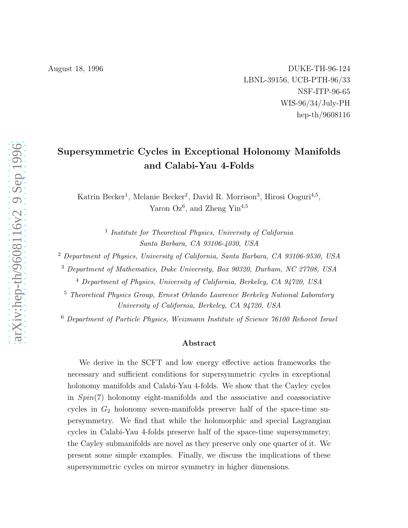August 18, 1996 **DUKE-TH-96-124** LBNL-39156, UCB-PTH-96/33 NSF-ITP-96-65 WIS-96/34/July-PH hep-th/9608116

# Supersymmetric Cycles in Exceptional Holonomy Manifolds and Calabi-Yau 4-Folds

Katrin Becker<sup>1</sup>, Melanie Becker<sup>2</sup>, David R. Morrison<sup>3</sup>, Hirosi Ooguri<sup>4,5</sup>, Yaron  $Oz^6$ , and Zheng Yin<sup>4,5</sup>

> <sup>1</sup> Institute for Theoretical Physics, University of California Santa Barbara, CA 93106-4030, USA

<sup>2</sup> Department of Physics, University of California, Santa Barbara, CA 93106-9530, USA

<sup>3</sup> Department of Mathematics, Duke University, Box 90320, Durham, NC 27708, USA

<sup>4</sup> Department of Physics, University of California, Berkeley, CA 94720, USA

<sup>5</sup> Theoretical Physics Group, Ernest Orlando Lawrence Berkeley National Laboratory University of California, Berkeley, CA 94720, USA

<sup>6</sup> Department of Particle Physics, Weizmann Institute of Science 76100 Rehovot Israel

#### Abstract

We derive in the SCFT and low energy effective action frameworks the necessary and sufficient conditions for supersymmetric cycles in exceptional holonomy manifolds and Calabi-Yau 4-folds. We show that the Cayley cycles in  $Spin(7)$  holonomy eight-manifolds and the associative and coassociative cycles in  $G_2$  holonomy seven-manifolds preserve half of the space-time supersymmetry. We find that while the holomorphic and special Lagrangian cycles in Calabi-Yau 4-folds preserve half of the space-time supersymmetry, the Cayley submanifolds are novel as they preserve only one quarter of it. We present some simple examples. Finally, we discuss the implications of these supersymmetric cycles on mirror symmetry in higher dimensions.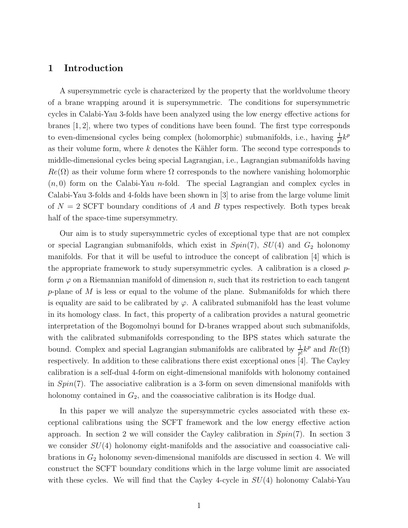## 1 Introduction

A supersymmetric cycle is characterized by the property that the worldvolume theory of a brane wrapping around it is supersymmetric. The conditions for supersymmetric cycles in Calabi-Yau 3-folds have been analyzed using the low energy effective actions for branes [1, 2], where two types of conditions have been found. The first type corresponds to even-dimensional cycles being complex (holomorphic) submanifolds, i.e., having  $\frac{1}{p!}k^p$ as their volume form, where  $k$  denotes the Kähler form. The second type corresponds to middle-dimensional cycles being special Lagrangian, i.e., Lagrangian submanifolds having  $Re(\Omega)$  as their volume form where  $\Omega$  corresponds to the nowhere vanishing holomorphic  $(n, 0)$  form on the Calabi-Yau *n*-fold. The special Lagrangian and complex cycles in Calabi-Yau 3-folds and 4-folds have been shown in [3] to arise from the large volume limit of  $N = 2$  SCFT boundary conditions of A and B types respectively. Both types break half of the space-time supersymmetry.

Our aim is to study supersymmetric cycles of exceptional type that are not complex or special Lagrangian submanifolds, which exist in  $Spin(7)$ ,  $SU(4)$  and  $G_2$  holonomy manifolds. For that it will be useful to introduce the concept of calibration [4] which is the appropriate framework to study supersymmetric cycles. A calibration is a closed  $p$ form  $\varphi$  on a Riemannian manifold of dimension n, such that its restriction to each tangent p-plane of  $M$  is less or equal to the volume of the plane. Submanifolds for which there is equality are said to be calibrated by  $\varphi$ . A calibrated submanifold has the least volume in its homology class. In fact, this property of a calibration provides a natural geometric interpretation of the Bogomolnyi bound for D-branes wrapped about such submanifolds, with the calibrated submanifolds corresponding to the BPS states which saturate the bound. Complex and special Lagrangian submanifolds are calibrated by  $\frac{1}{p!}k^p$  and  $Re(\Omega)$ respectively. In addition to these calibrations there exist exceptional ones [4]. The Cayley calibration is a self-dual 4-form on eight-dimensional manifolds with holonomy contained in  $Spin(7)$ . The associative calibration is a 3-form on seven dimensional manifolds with holonomy contained in  $G_2$ , and the coassociative calibration is its Hodge dual.

In this paper we will analyze the supersymmetric cycles associated with these exceptional calibrations using the SCFT framework and the low energy effective action approach. In section 2 we will consider the Cayley calibration in  $Spin(7)$ . In section 3 we consider  $SU(4)$  holonomy eight-manifolds and the associative and coassociative calibrations in  $G_2$  holonomy seven-dimensional manifolds are discussed in section 4. We will construct the SCFT boundary conditions which in the large volume limit are associated with these cycles. We will find that the Cayley 4-cycle in  $SU(4)$  holonomy Calabi-Yau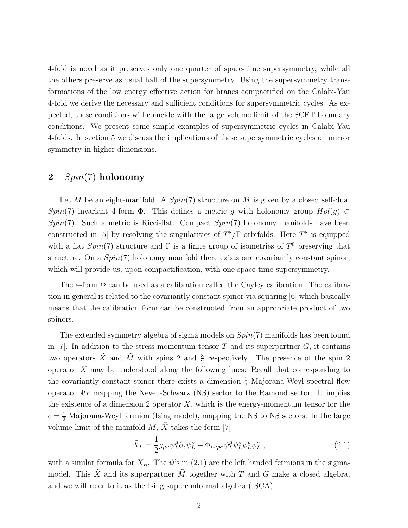4-fold is novel as it preserves only one quarter of space-time supersymmetry, while all the others preserve as usual half of the supersymmetry. Using the supersymmetry transformations of the low energy effective action for branes compactified on the Calabi-Yau 4-fold we derive the necessary and sufficient conditions for supersymmetric cycles. As expected, these conditions will coincide with the large volume limit of the SCFT boundary conditions. We present some simple examples of supersymmetric cycles in Calabi-Yau 4-folds. In section 5 we discuss the implications of these supersymmetric cycles on mirror symmetry in higher dimensions.

## 2  $Spin(7)$  holonomy

Let M be an eight-manifold. A  $Spin(7)$  structure on M is given by a closed self-dual Spin(7) invariant 4-form  $\Phi$ . This defines a metric g with holonomy group  $Hol(g) \subset$  $Spin(7)$ . Such a metric is Ricci-flat. Compact  $Spin(7)$  holonomy manifolds have been constructed in [5] by resolving the singularities of  $T^8/\Gamma$  orbifolds. Here  $T^8$  is equipped with a flat  $Spin(7)$  structure and  $\Gamma$  is a finite group of isometries of  $T^8$  preserving that structure. On a  $Spin(7)$  holonomy manifold there exists one covariantly constant spinor, which will provide us, upon compactification, with one space-time supersymmetry.

The 4-form Φ can be used as a calibration called the Cayley calibration. The calibration in general is related to the covariantly constant spinor via squaring [6] which basically means that the calibration form can be constructed from an appropriate product of two spinors.

The extended symmetry algebra of sigma models on  $Spin(7)$  manifolds has been found in  $[7]$ . In addition to the stress momentum tensor T and its superpartner G, it contains two operators  $\tilde{X}$  and  $\tilde{M}$  with spins 2 and  $\frac{3}{2}$  respectively. The presence of the spin 2 operator  $\tilde{X}$  may be understood along the following lines: Recall that corresponding to the covariantly constant spinor there exists a dimension  $\frac{1}{2}$  Majorana-Weyl spectral flow operator  $\Psi_L$  mapping the Neveu-Schwarz (NS) sector to the Ramond sector. It implies the existence of a dimension 2 operator  $\tilde{X}$ , which is the energy-momentum tensor for the  $c = \frac{1}{2}$  Majorana-Weyl fermion (Ising model), mapping the NS to NS sectors. In the large volume limit of the manifold  $M, \tilde{X}$  takes the form [7]

$$
\tilde{X}_L = \frac{1}{2} g_{\mu\nu} \psi_L^{\mu} \partial_z \psi_L^{\nu} + \Phi_{\mu\nu\rho\sigma} \psi_L^{\mu} \psi_L^{\nu} \psi_L^{\rho} \psi_L^{\sigma} , \qquad (2.1)
$$

with a similar formula for  $\tilde{X}_R$ . The  $\psi$ 's in (2.1) are the left handed fermions in the sigmamodel. This  $\tilde{X}$  and its superpartner  $\tilde{M}$  together with T and G make a closed algebra, and we will refer to it as the Ising superconformal algebra (ISCA).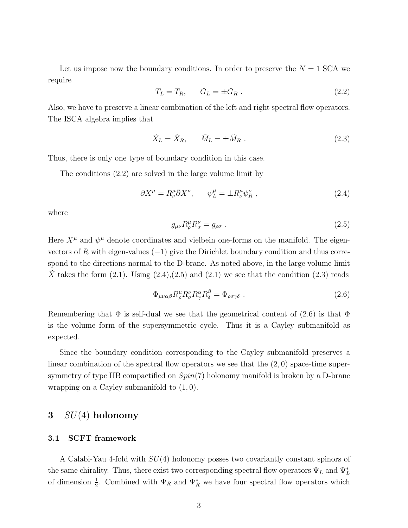Let us impose now the boundary conditions. In order to preserve the  $N = 1$  SCA we require

$$
T_L = T_R, \qquad G_L = \pm G_R \tag{2.2}
$$

Also, we have to preserve a linear combination of the left and right spectral flow operators. The ISCA algebra implies that

$$
\tilde{X}_L = \tilde{X}_R, \qquad \tilde{M}_L = \pm \tilde{M}_R \ . \tag{2.3}
$$

Thus, there is only one type of boundary condition in this case.

The conditions (2.2) are solved in the large volume limit by

$$
\partial X^{\mu} = R^{\mu}_{\nu} \bar{\partial} X^{\nu}, \qquad \psi^{\mu}_{L} = \pm R^{\mu}_{\nu} \psi^{\nu}_{R} , \qquad (2.4)
$$

where

$$
g_{\mu\nu}R^{\mu}_{\rho}R^{\nu}_{\sigma} = g_{\rho\sigma} \tag{2.5}
$$

Here  $X^{\mu}$  and  $\psi^{\mu}$  denote coordinates and vielbein one-forms on the manifold. The eigenvectors of R with eigen-values  $(-1)$  give the Dirichlet boundary condition and thus correspond to the directions normal to the D-brane. As noted above, in the large volume limit X takes the form  $(2.1)$ . Using  $(2.4),(2.5)$  and  $(2.1)$  we see that the condition  $(2.3)$  reads

$$
\Phi_{\mu\nu\alpha\beta} R^{\mu}_{\rho} R^{\nu}_{\sigma} R^{\alpha}_{\gamma} R^{\beta}_{\delta} = \Phi_{\rho\sigma\gamma\delta} \ . \tag{2.6}
$$

Remembering that  $\Phi$  is self-dual we see that the geometrical content of (2.6) is that  $\Phi$ is the volume form of the supersymmetric cycle. Thus it is a Cayley submanifold as expected.

Since the boundary condition corresponding to the Cayley submanifold preserves a linear combination of the spectral flow operators we see that the  $(2,0)$  space-time supersymmetry of type IIB compactified on  $Spin(7)$  holonomy manifold is broken by a D-brane wrapping on a Cayley submanifold to  $(1, 0)$ .

## $3 \quad SU(4)$  holonomy

#### 3.1 SCFT framework

A Calabi-Yau 4-fold with SU(4) holonomy posses two covariantly constant spinors of the same chirality. Thus, there exist two corresponding spectral flow operators  $\Psi_L$  and  $\Psi_L^*$ of dimension  $\frac{1}{2}$ . Combined with  $\Psi_R$  and  $\Psi_R^*$  we have four spectral flow operators which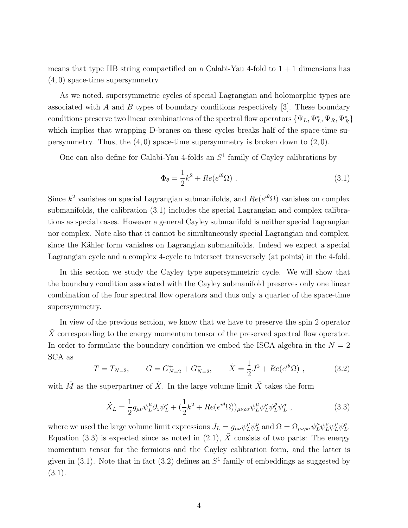means that type IIB string compactified on a Calabi-Yau 4-fold to  $1 + 1$  dimensions has (4, 0) space-time supersymmetry.

As we noted, supersymmetric cycles of special Lagrangian and holomorphic types are associated with A and B types of boundary conditions respectively  $[3]$ . These boundary conditions preserve two linear combinations of the spectral flow operators  $\{\Psi_L, \Psi_L^*, \Psi_R, \Psi_R^*\}$ which implies that wrapping D-branes on these cycles breaks half of the space-time supersymmetry. Thus, the  $(4, 0)$  space-time supersymmetry is broken down to  $(2, 0)$ .

One can also define for Calabi-Yau 4-folds an  $S<sup>1</sup>$  family of Cayley calibrations by

$$
\Phi_{\theta} = \frac{1}{2}k^2 + Re(e^{i\theta}\Omega) \tag{3.1}
$$

Since  $k^2$  vanishes on special Lagrangian submanifolds, and  $Re(e^{i\theta}\Omega)$  vanishes on complex submanifolds, the calibration (3.1) includes the special Lagrangian and complex calibrations as special cases. However a general Cayley submanifold is neither special Lagrangian nor complex. Note also that it cannot be simultaneously special Lagrangian and complex, since the Kähler form vanishes on Lagrangian submanifolds. Indeed we expect a special Lagrangian cycle and a complex 4-cycle to intersect transversely (at points) in the 4-fold.

In this section we study the Cayley type supersymmetric cycle. We will show that the boundary condition associated with the Cayley submanifold preserves only one linear combination of the four spectral flow operators and thus only a quarter of the space-time supersymmetry.

In view of the previous section, we know that we have to preserve the spin 2 operator  $\tilde{X}$  corresponding to the energy momentum tensor of the preserved spectral flow operator. In order to formulate the boundary condition we embed the ISCA algebra in the  $N = 2$ SCA as

$$
T = T_{N=2}, \qquad G = G_{N=2}^{+} + G_{N=2}^{-}, \qquad \tilde{X} = \frac{1}{2}J^2 + Re(e^{i\theta}\Omega) , \qquad (3.2)
$$

with  $\tilde{M}$  as the superpartner of  $\tilde{X}$ . In the large volume limit  $\tilde{X}$  takes the form

$$
\tilde{X}_L = \frac{1}{2} g_{\mu\nu} \psi_L^{\mu} \partial_z \psi_L^{\nu} + (\frac{1}{2} k^2 + Re(e^{i\theta} \Omega))_{\mu\nu\rho\sigma} \psi_L^{\mu} \psi_L^{\nu} \psi_L^{\rho} \psi_L^{\sigma} , \qquad (3.3)
$$

where we used the large volume limit expressions  $J_L = g_{\mu\nu}\psi_L^{\mu}\psi_L^{\nu}$  and  $\Omega = \Omega_{\mu\nu\rho\sigma}\psi_L^{\mu}\psi_L^{\nu}\psi_L^{\rho}\psi_L^{\sigma}$ . Equation (3.3) is expected since as noted in (2.1),  $\tilde{X}$  consists of two parts: The energy momentum tensor for the fermions and the Cayley calibration form, and the latter is given in  $(3.1)$ . Note that in fact  $(3.2)$  defines an  $S<sup>1</sup>$  family of embeddings as suggested by  $(3.1).$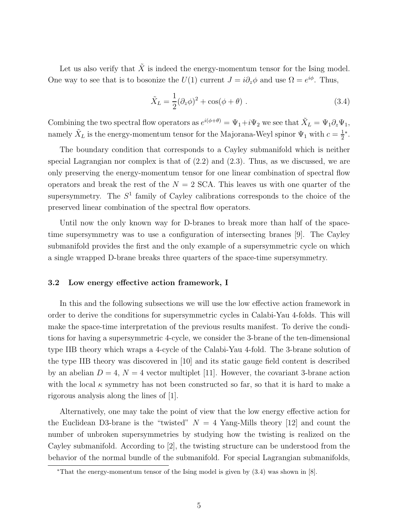Let us also verify that  $\tilde{X}$  is indeed the energy-momentum tensor for the Ising model. One way to see that is to bosonize the  $U(1)$  current  $J = i\partial_z \phi$  and use  $\Omega = e^{i\phi}$ . Thus,

$$
\tilde{X}_L = \frac{1}{2} (\partial_z \phi)^2 + \cos(\phi + \theta) . \qquad (3.4)
$$

Combining the two spectral flow operators as  $e^{i(\phi+\theta)} = \Psi_1 + i\Psi_2$  we see that  $\tilde{X}_L = \Psi_1 \partial_z \Psi_1$ , namely  $\tilde{X}_L$  is the energy-momentum tensor for the Majorana-Weyl spinor  $\Psi_1$  with  $c = \frac{1}{2}$ 2 ∗ .

The boundary condition that corresponds to a Cayley submanifold which is neither special Lagrangian nor complex is that of (2.2) and (2.3). Thus, as we discussed, we are only preserving the energy-momentum tensor for one linear combination of spectral flow operators and break the rest of the  $N = 2$  SCA. This leaves us with one quarter of the supersymmetry. The  $S<sup>1</sup>$  family of Cayley calibrations corresponds to the choice of the preserved linear combination of the spectral flow operators.

Until now the only known way for D-branes to break more than half of the spacetime supersymmetry was to use a configuration of intersecting branes [9]. The Cayley submanifold provides the first and the only example of a supersymmetric cycle on which a single wrapped D-brane breaks three quarters of the space-time supersymmetry.

#### 3.2 Low energy effective action framework, I

In this and the following subsections we will use the low effective action framework in order to derive the conditions for supersymmetric cycles in Calabi-Yau 4-folds. This will make the space-time interpretation of the previous results manifest. To derive the conditions for having a supersymmetric 4-cycle, we consider the 3-brane of the ten-dimensional type IIB theory which wraps a 4-cycle of the Calabi-Yau 4-fold. The 3-brane solution of the type IIB theory was discovered in [10] and its static gauge field content is described by an abelian  $D = 4$ ,  $N = 4$  vector multiplet [11]. However, the covariant 3-brane action with the local  $\kappa$  symmetry has not been constructed so far, so that it is hard to make a rigorous analysis along the lines of [1].

Alternatively, one may take the point of view that the low energy effective action for the Euclidean D3-brane is the "twisted"  $N = 4$  Yang-Mills theory [12] and count the number of unbroken supersymmetries by studying how the twisting is realized on the Cayley submanifold. According to [2], the twisting structure can be understood from the behavior of the normal bundle of the submanifold. For special Lagrangian submanifolds,

<sup>∗</sup>That the energy-momentum tensor of the Ising model is given by (3.4) was shown in [8].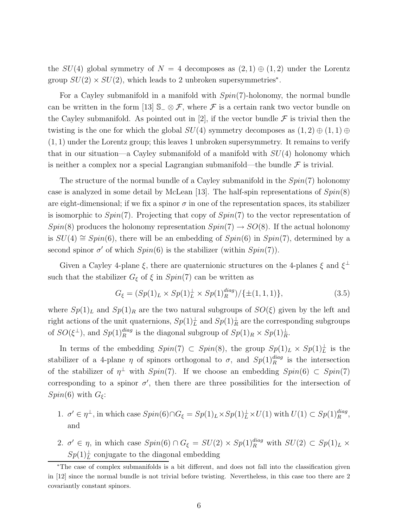the  $SU(4)$  global symmetry of  $N = 4$  decomposes as  $(2, 1) \oplus (1, 2)$  under the Lorentz group  $SU(2) \times SU(2)$ , which leads to 2 unbroken supersymmetries<sup>\*</sup>.

For a Cayley submanifold in a manifold with  $Spin(7)$ -holonomy, the normal bundle can be written in the form [13]  $\mathbb{S}_-\otimes \mathcal{F}$ , where  $\mathcal F$  is a certain rank two vector bundle on the Cayley submanifold. As pointed out in [2], if the vector bundle  $\mathcal F$  is trivial then the twisting is the one for which the global  $SU(4)$  symmetry decomposes as  $(1, 2) \oplus (1, 1) \oplus$  $(1, 1)$  under the Lorentz group; this leaves 1 unbroken supersymmetry. It remains to verify that in our situation—a Cayley submanifold of a manifold with  $SU(4)$  holonomy which is neither a complex nor a special Lagrangian submanifold—the bundle  $\mathcal F$  is trivial.

The structure of the normal bundle of a Cayley submanifold in the  $Spin(7)$  holonomy case is analyzed in some detail by McLean [13]. The half-spin representations of  $Spin(8)$ are eight-dimensional; if we fix a spinor  $\sigma$  in one of the representation spaces, its stabilizer is isomorphic to  $Spin(7)$ . Projecting that copy of  $Spin(7)$  to the vector representation of  $Spin(8)$  produces the holonomy representation  $Spin(7) \rightarrow SO(8)$ . If the actual holonomy is  $SU(4) \cong Spin(6)$ , there will be an embedding of  $Spin(6)$  in  $Spin(7)$ , determined by a second spinor  $\sigma'$  of which  $Spin(6)$  is the stabilizer (within  $Spin(7)$ ).

Given a Cayley 4-plane  $\xi$ , there are quaternionic structures on the 4-planes  $\xi$  and  $\xi^{\perp}$ such that the stabilizer  $G_{\xi}$  of  $\xi$  in  $Spin(7)$  can be written as

$$
G_{\xi} = (Sp(1)_L \times Sp(1)_L^{\perp} \times Sp(1)_R^{diag}) / \{ \pm (1, 1, 1) \},
$$
\n(3.5)

where  $Sp(1)<sub>L</sub>$  and  $Sp(1)<sub>R</sub>$  are the two natural subgroups of  $SO(\xi)$  given by the left and right actions of the unit quaternions,  $Sp(1)<sup>\perp</sup><sub>L</sub>$  and  $Sp(1)<sup>\perp</sup><sub>R</sub>$  are the corresponding subgroups of  $SO(\xi^{\perp})$ , and  $Sp(1)_R^{diag}$  is the diagonal subgroup of  $Sp(1)_R \times Sp(1)_R^{\perp}$ .

In terms of the embedding  $Spin(7) \subset Spin(8)$ , the group  $Sp(1)_L \times Sp(1)_L^{\perp}$  is the stabilizer of a 4-plane  $\eta$  of spinors orthogonal to  $\sigma$ , and  $Sp(1)<sub>R</sub><sup>diag</sup>$  is the intersection of the stabilizer of  $\eta^{\perp}$  with  $Spin(7)$ . If we choose an embedding  $Spin(6) \subset Spin(7)$ corresponding to a spinor  $\sigma'$ , then there are three possibilities for the intersection of  $Spin(6)$  with  $G_{\xi}$ :

- 1.  $\sigma' \in \eta^{\perp}$ , in which case  $Spin(6) \cap G_{\xi} = Sp(1)_L \times Sp(1)_L^{\perp} \times U(1)$  with  $U(1) \subset Sp(1)_{R}^{diag}$ , and
- 2.  $\sigma' \in \eta$ , in which case  $Spin(6) \cap G_{\xi} = SU(2) \times Sp(1)_{R}^{diag}$  with  $SU(2) \subset Sp(1)_{L} \times$  $Sp(1)<sub>L</sub>$  conjugate to the diagonal embedding

<sup>∗</sup>The case of complex submanifolds is a bit different, and does not fall into the classification given in [12] since the normal bundle is not trivial before twisting. Nevertheless, in this case too there are 2 covariantly constant spinors.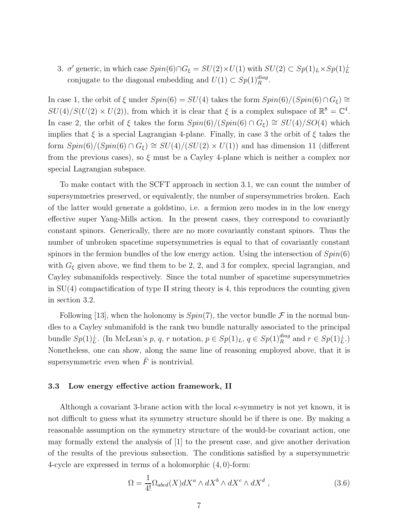3.  $\sigma'$  generic, in which case  $Spin(6) \cap G_{\xi} = SU(2) \times U(1)$  with  $SU(2) \subset Sp(1)_L \times Sp(1)_L^{\perp}$ conjugate to the diagonal embedding and  $U(1) \subset Sp(1)_{R}^{diag}$ .

In case 1, the orbit of  $\xi$  under  $Spin(6) = SU(4)$  takes the form  $Spin(6)/(Spin(6) \cap G_{\xi}) \cong$  $SU(4)/S(U(2) \times U(2))$ , from which it is clear that  $\xi$  is a complex subspace of  $\mathbb{R}^8 = \mathbb{C}^4$ . In case 2, the orbit of  $\xi$  takes the form  $Spin(6)/(Spin(6) \cap G_{\xi}) \cong SU(4)/SO(4)$  which implies that  $\xi$  is a special Lagrangian 4-plane. Finally, in case 3 the orbit of  $\xi$  takes the form  $Spin(6)/(Spin(6) \cap G_{\xi}) \cong SU(4)/(SU(2) \times U(1))$  and has dimension 11 (different from the previous cases), so  $\xi$  must be a Cayley 4-plane which is neither a complex nor special Lagrangian subspace.

To make contact with the SCFT approach in section 3.1, we can count the number of supersymmetries preserved, or equivalently, the number of supersymmetries broken. Each of the latter would generate a goldstino, i.e. a fermion zero modes in in the low energy effective super Yang-Mills action. In the present cases, they correspond to covariantly constant spinors. Generically, there are no more covariantly constant spinors. Thus the number of unbroken spacetime supersymmetries is equal to that of covariantly constant spinors in the fermion bundles of the low energy action. Using the intersection of  $Spin(6)$ with  $G_{\xi}$  given above, we find them to be 2, 2, and 3 for complex, special lagrangian, and Cayley submanifolds respectively. Since the total number of spacetime supersymmetries in  $SU(4)$  compactification of type II string theory is 4, this reproduces the counting given in section 3.2.

Following [13], when the holonomy is  $Spin(7)$ , the vector bundle  $\mathcal F$  in the normal bundles to a Cayley submanifold is the rank two bundle naturally associated to the principal bundle  $Sp(1)<sub>L</sub>$ . (In McLean's p, q, r notation,  $p \in Sp(1)<sub>L</sub>$ ,  $q \in Sp(1)<sub>R</sub>$ <sup>diag</sup> and  $r \in Sp(1)<sub>L</sub>$ .) Nonetheless, one can show, along the same line of reasoning employed above, that it is supersymmetric even when  $\bar{F}$  is nontrivial.

#### 3.3 Low energy effective action framework, II

Although a covariant 3-brane action with the local  $\kappa$ -symmetry is not yet known, it is not difficult to guess what its symmetry structure should be if there is one. By making a reasonable assumption on the symmetry structure of the would-be covariant action, one may formally extend the analysis of [1] to the present case, and give another derivation of the results of the previous subsection. The conditions satisfied by a supersymmetric 4-cycle are expressed in terms of a holomorphic (4, 0)-form:

$$
\Omega = \frac{1}{4!} \Omega_{abcd}(X) dX^a \wedge dX^b \wedge dX^c \wedge dX^d \tag{3.6}
$$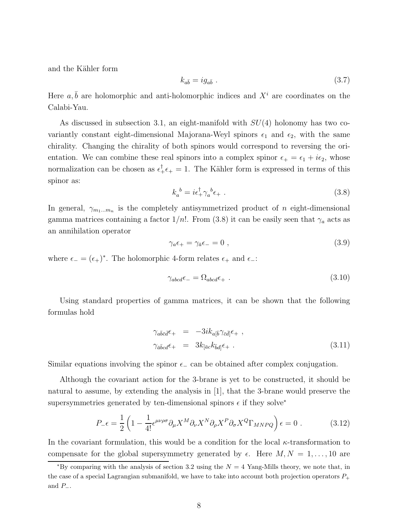and the Kähler form

$$
k_{a\bar{b}} = ig_{a\bar{b}} . \tag{3.7}
$$

Here  $a, \bar{b}$  are holomorphic and anti-holomorphic indices and  $X^i$  are coordinates on the Calabi-Yau.

As discussed in subsection 3.1, an eight-manifold with  $SU(4)$  holonomy has two covariantly constant eight-dimensional Majorana-Weyl spinors  $\epsilon_1$  and  $\epsilon_2$ , with the same chirality. Changing the chirality of both spinors would correspond to reversing the orientation. We can combine these real spinors into a complex spinor  $\epsilon_+ = \epsilon_1 + i\epsilon_2$ , whose normalization can be chosen as  $\epsilon_+^{\dagger} \epsilon_+ = 1$ . The Kähler form is expressed in terms of this spinor as:

$$
k_a^{\ b} = i\epsilon_+^{\dagger} \gamma_a^{\ b} \epsilon_+ \ . \tag{3.8}
$$

In general,  $\gamma_{m_1...m_n}$  is the completely antisymmetrized product of n eight-dimensional gamma matrices containing a factor  $1/n!$ . From (3.8) it can be easily seen that  $\gamma_a$  acts as an annihilation operator

$$
\gamma_a \epsilon_+ = \gamma_{\bar{a}} \epsilon_- = 0 \tag{3.9}
$$

where  $\epsilon_{-} = (\epsilon_{+})^*$ . The holomorphic 4-form relates  $\epsilon_{+}$  and  $\epsilon_{-}$ :

$$
\gamma_{abcd}\epsilon_{-} = \Omega_{abcd}\epsilon_{+} \tag{3.10}
$$

Using standard properties of gamma matrices, it can be shown that the following formulas hold

$$
\gamma_{a\bar{b}\bar{c}\bar{d}}\epsilon_{+} = -3ik_{a[\bar{b}}\gamma_{\bar{c}\bar{d}]} \epsilon_{+} ,
$$
  
\n
$$
\gamma_{\bar{a}\bar{b}c\bar{d}}\epsilon_{+} = 3k_{[\bar{a}c}k_{\bar{b}d]} \epsilon_{+} .
$$
\n(3.11)

Similar equations involving the spinor  $\epsilon_-\$  can be obtained after complex conjugation.

Although the covariant action for the 3-brane is yet to be constructed, it should be natural to assume, by extending the analysis in [1], that the 3-brane would preserve the supersymmetries generated by ten-dimensional spinors  $\epsilon$  if they solve<sup>\*</sup>

$$
P_{-}\epsilon = \frac{1}{2} \left( 1 - \frac{1}{4!} \epsilon^{\mu\nu\rho\sigma} \partial_{\mu} X^{M} \partial_{\nu} X^{N} \partial_{\rho} X^{P} \partial_{\sigma} X^{Q} \Gamma_{MNPQ} \right) \epsilon = 0 \tag{3.12}
$$

In the covariant formulation, this would be a condition for the local  $\kappa$ -transformation to compensate for the global supersymmetry generated by  $\epsilon$ . Here  $M, N = 1, \ldots, 10$  are

<sup>\*</sup>By comparing with the analysis of section 3.2 using the  $N = 4$  Yang-Mills theory, we note that, in the case of a special Lagrangian submanifold, we have to take into account both projection operators  $P_+$ and  $P_-\,$ .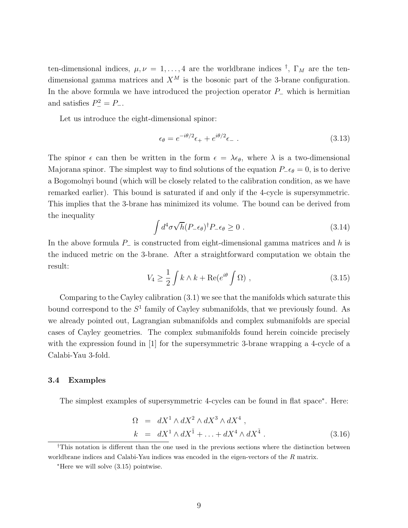ten-dimensional indices,  $\mu, \nu = 1, ..., 4$  are the worldbrane indices <sup>†</sup>,  $\Gamma_M$  are the tendimensional gamma matrices and  $X^M$  is the bosonic part of the 3-brane configuration. In the above formula we have introduced the projection operator  $P_-\,$  which is hermitian and satisfies  $P^2 = P^-$ .

Let us introduce the eight-dimensional spinor:

$$
\epsilon_{\theta} = e^{-i\theta/2} \epsilon_{+} + e^{i\theta/2} \epsilon_{-} \tag{3.13}
$$

The spinor  $\epsilon$  can then be written in the form  $\epsilon = \lambda \epsilon_{\theta}$ , where  $\lambda$  is a two-dimensional Majorana spinor. The simplest way to find solutions of the equation  $P_-\epsilon_\theta = 0$ , is to derive a Bogomolnyi bound (which will be closely related to the calibration condition, as we have remarked earlier). This bound is saturated if and only if the 4-cycle is supersymmetric. This implies that the 3-brane has minimized its volume. The bound can be derived from the inequality

$$
\int d^4 \sigma \sqrt{h} (P_- \epsilon_{\theta})^{\dagger} P_- \epsilon_{\theta} \ge 0 \tag{3.14}
$$

In the above formula  $P_$  is constructed from eight-dimensional gamma matrices and h is the induced metric on the 3-brane. After a straightforward computation we obtain the result:

$$
V_4 \ge \frac{1}{2} \int k \wedge k + \text{Re}(e^{i\theta} \int \Omega) , \qquad (3.15)
$$

Comparing to the Cayley calibration (3.1) we see that the manifolds which saturate this bound correspond to the  $S<sup>1</sup>$  family of Cayley submanifolds, that we previously found. As we already pointed out, Lagrangian submanifolds and complex submanifolds are special cases of Cayley geometries. The complex submanifolds found herein coincide precisely with the expression found in [1] for the supersymmetric 3-brane wrapping a 4-cycle of a Calabi-Yau 3-fold.

#### 3.4 Examples

The simplest examples of supersymmetric 4-cycles can be found in flat space<sup>∗</sup> . Here:

$$
\Omega = dX^1 \wedge dX^2 \wedge dX^3 \wedge dX^4 ,
$$
  
\n
$$
k = dX^1 \wedge dX^{\bar{1}} + \dots + dX^4 \wedge dX^{\bar{4}} .
$$
 (3.16)

<sup>†</sup>This notation is different than the one used in the previous sections where the distinction between worldbrane indices and Calabi-Yau indices was encoded in the eigen-vectors of the R matrix.

<sup>∗</sup>Here we will solve (3.15) pointwise.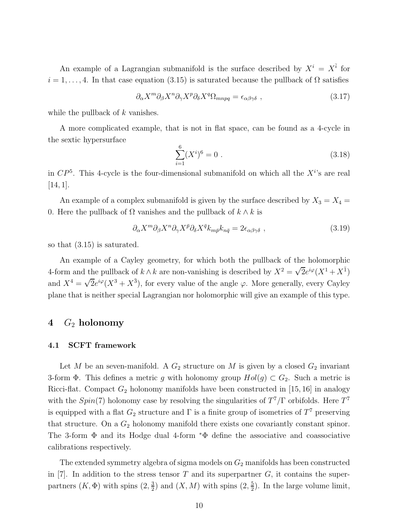An example of a Lagrangian submanifold is the surface described by  $X^i = X^{\bar{i}}$  for  $i = 1, \ldots, 4$ . In that case equation (3.15) is saturated because the pullback of  $\Omega$  satisfies

$$
\partial_{\alpha} X^m \partial_{\beta} X^n \partial_{\gamma} X^p \partial_{\delta} X^q \Omega_{mnpq} = \epsilon_{\alpha\beta\gamma\delta} , \qquad (3.17)
$$

while the pullback of  $k$  vanishes.

A more complicated example, that is not in flat space, can be found as a 4-cycle in the sextic hypersurface

$$
\sum_{i=1}^{6} (X^i)^6 = 0 \tag{3.18}
$$

in  $\mathbb{CP}^5$ . This 4-cycle is the four-dimensional submanifold on which all the  $X^{i}$ 's are real  $[14, 1].$ 

An example of a complex submanifold is given by the surface described by  $X_3 = X_4 =$ 0. Here the pullback of  $\Omega$  vanishes and the pullback of  $k \wedge k$  is

$$
\partial_{\alpha} X^m \partial_{\beta} X^n \partial_{\gamma} X^{\bar{p}} \partial_{\delta} X^{\bar{q}} k_{m\bar{p}} k_{n\bar{q}} = 2 \epsilon_{\alpha\beta\gamma\delta} , \qquad (3.19)
$$

so that (3.15) is saturated.

An example of a Cayley geometry, for which both the pullback of the holomorphic 4-form and the pullback of  $k \wedge k$  are non-vanishing is described by  $X^2 = \sqrt{2}e^{i\varphi}(X^1 + X^{\bar{1}})$ and  $X^4 = \sqrt{2}e^{i\varphi}(X^3 + X^{\bar{3}})$ , for every value of the angle  $\varphi$ . More generally, every Cayley plane that is neither special Lagrangian nor holomorphic will give an example of this type.

# 4 G<sup>2</sup> holonomy

#### 4.1 SCFT framework

Let M be an seven-manifold. A  $G_2$  structure on M is given by a closed  $G_2$  invariant 3-form Φ. This defines a metric g with holonomy group  $Hol(g) \subset G_2$ . Such a metric is Ricci-flat. Compact  $G_2$  holonomy manifolds have been constructed in [15, 16] in analogy with the  $Spin(7)$  holonomy case by resolving the singularities of  $T^7/\Gamma$  orbifolds. Here  $T^7$ is equipped with a flat  $G_2$  structure and  $\Gamma$  is a finite group of isometries of  $T^7$  preserving that structure. On a  $G_2$  holonomy manifold there exists one covariantly constant spinor. The 3-form  $\Phi$  and its Hodge dual 4-form  $*\Phi$  define the associative and coassociative calibrations respectively.

The extended symmetry algebra of sigma models on  $G_2$  manifolds has been constructed in [7]. In addition to the stress tensor T and its superpartner  $G$ , it contains the superpartners  $(K, \Phi)$  with spins  $(2, \frac{3}{2})$  $\frac{3}{2}$ ) and  $(X, M)$  with spins  $(2, \frac{5}{2})$  $\frac{5}{2}$ ). In the large volume limit,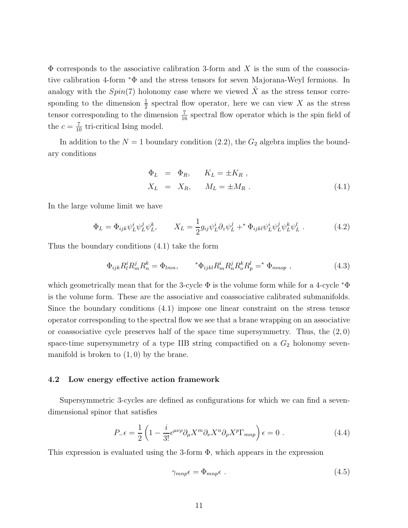$\Phi$  corresponds to the associative calibration 3-form and X is the sum of the coassociative calibration 4-form <sup>∗</sup>Φ and the stress tensors for seven Majorana-Weyl fermions. In analogy with the  $Spin(7)$  holonomy case where we viewed  $\tilde{X}$  as the stress tensor corresponding to the dimension  $\frac{1}{2}$  spectral flow operator, here we can view X as the stress tensor corresponding to the dimension  $\frac{7}{16}$  spectral flow operator which is the spin field of the  $c = \frac{7}{10}$  tri-critical Ising model.

In addition to the  $N = 1$  boundary condition (2.2), the  $G_2$  algebra implies the boundary conditions

$$
\begin{aligned}\n\Phi_L &= \Phi_R, & K_L &= \pm K_R, \\
X_L &= X_R, & M_L &= \pm M_R.\n\end{aligned} \tag{4.1}
$$

In the large volume limit we have

$$
\Phi_L = \Phi_{ijk}\psi_L^i\psi_L^j\psi_L^k, \qquad X_L = \frac{1}{2}g_{ij}\psi_L^i\partial_z\psi_L^j +^* \Phi_{ijkl}\psi_L^i\psi_L^j\psi_L^k\psi_L^l. \tag{4.2}
$$

Thus the boundary conditions (4.1) take the form

$$
\Phi_{ijk} R^i_l R^j_m R^k_n = \Phi_{lmn}, \qquad \, ^*\Phi_{ijkl} R^i_m R^j_n R^k_o R^l_p = ^*\Phi_{mnop} , \tag{4.3}
$$

which geometrically mean that for the 3-cycle  $\Phi$  is the volume form while for a 4-cycle  $*\Phi$ is the volume form. These are the associative and coassociative calibrated submanifolds. Since the boundary conditions (4.1) impose one linear constraint on the stress tensor operator corresponding to the spectral flow we see that a brane wrapping on an associative or coassociative cycle preserves half of the space time supersymmetry. Thus, the  $(2,0)$ space-time supersymmetry of a type IIB string compactified on a  $G_2$  holonomy sevenmanifold is broken to  $(1, 0)$  by the brane.

#### 4.2 Low energy effective action framework

Supersymmetric 3-cycles are defined as configurations for which we can find a sevendimensional spinor that satisfies

$$
P_{-}\epsilon = \frac{1}{2} \left( 1 - \frac{i}{3!} \epsilon^{\mu\nu\rho} \partial_{\mu} X^{m} \partial_{\nu} X^{n} \partial_{\rho} X^{p} \Gamma_{mnp} \right) \epsilon = 0 \tag{4.4}
$$

This expression is evaluated using the 3-form  $\Phi$ , which appears in the expression

$$
\gamma_{mnp}\epsilon = \Phi_{mnp}\epsilon \tag{4.5}
$$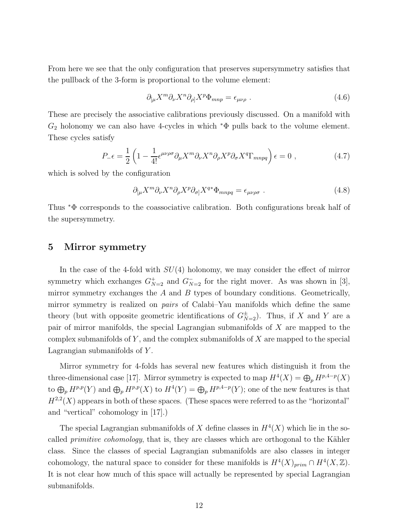From here we see that the only configuration that preserves supersymmetry satisfies that the pullback of the 3-form is proportional to the volume element:

$$
\partial_{\mu} X^m \partial_{\nu} X^n \partial_{\rho} X^p \Phi_{mnp} = \epsilon_{\mu\nu\rho} \ . \tag{4.6}
$$

These are precisely the associative calibrations previously discussed. On a manifold with  $G_2$  holonomy we can also have 4-cycles in which  $*\Phi$  pulls back to the volume element. These cycles satisfy

$$
P_{-}\epsilon = \frac{1}{2} \left( 1 - \frac{1}{4!} \epsilon^{\mu\nu\rho\sigma} \partial_{\mu} X^{m} \partial_{\nu} X^{n} \partial_{\rho} X^{p} \partial_{\sigma} X^{q} \Gamma_{mnpq} \right) \epsilon = 0 , \qquad (4.7)
$$

which is solved by the configuration

$$
\partial_{\lbrack\mu}X^m \partial_{\nu}X^n \partial_{\rho}X^p \partial_{\sigma}X^{q*} \Phi_{mnpq} = \epsilon_{\mu\nu\rho\sigma} \ . \tag{4.8}
$$

Thus <sup>∗</sup>Φ corresponds to the coassociative calibration. Both configurations break half of the supersymmetry.

### 5 Mirror symmetry

In the case of the 4-fold with  $SU(4)$  holonomy, we may consider the effect of mirror symmetry which exchanges  $G_{N=2}^+$  and  $G_{N=2}^-$  for the right mover. As was shown in [3], mirror symmetry exchanges the  $A$  and  $B$  types of boundary conditions. Geometrically, mirror symmetry is realized on *pairs* of Calabi–Yau manifolds which define the same theory (but with opposite geometric identifications of  $G_{N=2}^{\pm}$ ). Thus, if X and Y are a pair of mirror manifolds, the special Lagrangian submanifolds of X are mapped to the complex submanifolds of  $Y$ , and the complex submanifolds of  $X$  are mapped to the special Lagrangian submanifolds of Y.

Mirror symmetry for 4-folds has several new features which distinguish it from the three-dimensional case [17]. Mirror symmetry is expected to map  $H^4(X) = \bigoplus_p H^{p,4-p}(X)$ to  $\bigoplus_p H^{p,p}(Y)$  and  $\bigoplus_p H^{p,p}(X)$  to  $H^4(Y) = \bigoplus_p H^{p,4-p}(Y)$ ; one of the new features is that  $H^{2,2}(X)$  appears in both of these spaces. (These spaces were referred to as the "horizontal" and "vertical" cohomology in [17].)

The special Lagrangian submanifolds of X define classes in  $H^4(X)$  which lie in the socalled *primitive cohomology*, that is, they are classes which are orthogonal to the Kähler class. Since the classes of special Lagrangian submanifolds are also classes in integer cohomology, the natural space to consider for these manifolds is  $H^4(X)_{prim} \cap H^4(X,\mathbb{Z})$ . It is not clear how much of this space will actually be represented by special Lagrangian submanifolds.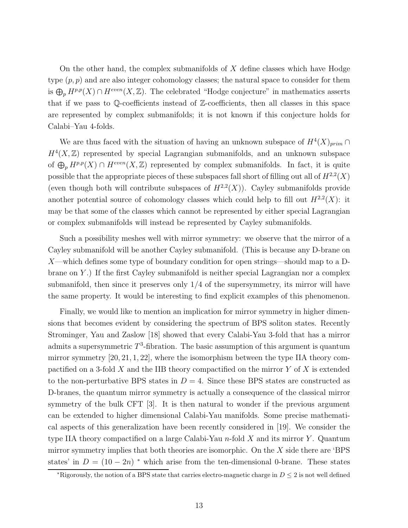On the other hand, the complex submanifolds of  $X$  define classes which have Hodge type  $(p, p)$  and are also integer cohomology classes; the natural space to consider for them is  $\bigoplus_p H^{p,p}(X) \cap H^{even}(X,\mathbb{Z})$ . The celebrated "Hodge conjecture" in mathematics asserts that if we pass to Q-coefficients instead of Z-coefficients, then all classes in this space are represented by complex submanifolds; it is not known if this conjecture holds for Calabi–Yau 4-folds.

We are thus faced with the situation of having an unknown subspace of  $H^4(X)_{prim} \cap$  $H^4(X,\mathbb{Z})$  represented by special Lagrangian submanifolds, and an unknown subspace of  $\bigoplus_p H^{p,p}(X) \cap H^{even}(X,\mathbb{Z})$  represented by complex submanifolds. In fact, it is quite possible that the appropriate pieces of these subspaces fall short of filling out all of  $H^{2,2}(X)$ (even though both will contribute subspaces of  $H^{2,2}(X)$ ). Cayley submanifolds provide another potential source of cohomology classes which could help to fill out  $H^{2,2}(X)$ : it may be that some of the classes which cannot be represented by either special Lagrangian or complex submanifolds will instead be represented by Cayley submanifolds.

Such a possibility meshes well with mirror symmetry: we observe that the mirror of a Cayley submanifold will be another Cayley submanifold. (This is because any D-brane on X—which defines some type of boundary condition for open strings—should map to a Dbrane on Y .) If the first Cayley submanifold is neither special Lagrangian nor a complex submanifold, then since it preserves only  $1/4$  of the supersymmetry, its mirror will have the same property. It would be interesting to find explicit examples of this phenomenon.

Finally, we would like to mention an implication for mirror symmetry in higher dimensions that becomes evident by considering the spectrum of BPS soliton states. Recently Strominger, Yau and Zaslow [18] showed that every Calabi-Yau 3-fold that has a mirror admits a supersymmetric  $T^3$ -fibration. The basic assumption of this argument is quantum mirror symmetry [20, 21, 1, 22], where the isomorphism between the type IIA theory compactified on a 3-fold X and the IIB theory compactified on the mirror Y of X is extended to the non-perturbative BPS states in  $D = 4$ . Since these BPS states are constructed as D-branes, the quantum mirror symmetry is actually a consequence of the classical mirror symmetry of the bulk CFT [3]. It is then natural to wonder if the previous argument can be extended to higher dimensional Calabi-Yau manifolds. Some precise mathematical aspects of this generalization have been recently considered in [19]. We consider the type IIA theory compactified on a large Calabi-Yau  $n$ -fold X and its mirror Y. Quantum mirror symmetry implies that both theories are isomorphic. On the  $X$  side there are 'BPS states' in  $D = (10 - 2n)$  \* which arise from the ten-dimensional 0-brane. These states

<sup>\*</sup>Rigorously, the notion of a BPS state that carries electro-magnetic charge in  $D < 2$  is not well defined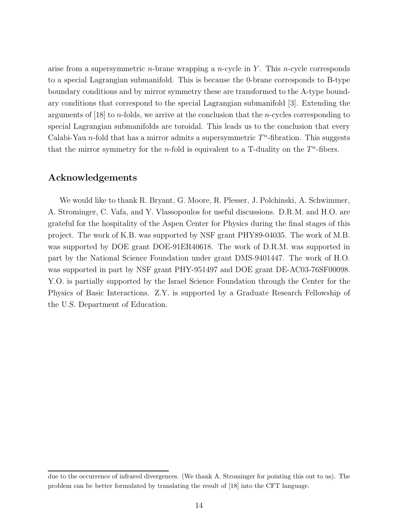arise from a supersymmetric *n*-brane wrapping a *n*-cycle in Y. This *n*-cycle corresponds to a special Lagrangian submanifold. This is because the 0-brane corresponds to B-type boundary conditions and by mirror symmetry these are transformed to the A-type boundary conditions that correspond to the special Lagrangian submanifold [3]. Extending the arguments of  $[18]$  to *n*-folds, we arrive at the conclusion that the *n*-cycles corresponding to special Lagrangian submanifolds are toroidal. This leads us to the conclusion that every Calabi-Yau *n*-fold that has a mirror admits a supersymmetric  $T<sup>n</sup>$ -fibration. This suggests that the mirror symmetry for the *n*-fold is equivalent to a T-duality on the  $T<sup>n</sup>$ -fibers.

## Acknowledgements

We would like to thank R. Bryant, G. Moore, R. Plesser, J. Polchinski, A. Schwimmer, A. Strominger, C. Vafa, and Y. Vlassopoulos for useful discussions. D.R.M. and H.O. are grateful for the hospitality of the Aspen Center for Physics during the final stages of this project. The work of K.B. was supported by NSF grant PHY89-04035. The work of M.B. was supported by DOE grant DOE-91ER40618. The work of D.R.M. was supported in part by the National Science Foundation under grant DMS-9401447. The work of H.O. was supported in part by NSF grant PHY-951497 and DOE grant DE-AC03-76SF00098. Y.O. is partially supported by the Israel Science Foundation through the Center for the Physics of Basic Interactions. Z.Y. is supported by a Graduate Research Fellowship of the U.S. Department of Education.

due to the occurrence of infrared divergences. (We thank A. Strominger for pointing this out to us). The problem can be better formulated by translating the result of [18] into the CFT language.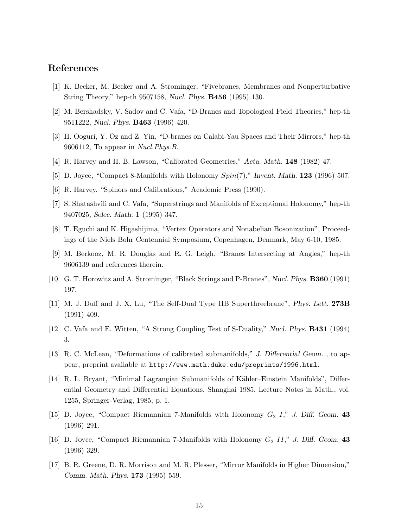## References

- [1] K. Becker, M. Becker and A. Strominger, "Fivebranes, Membranes and Nonperturbative String Theory," hep-th 9507158, Nucl. Phys. B456 (1995) 130.
- [2] M. Bershadsky, V. Sadov and C. Vafa, "D-Branes and Topological Field Theories," hep-th 9511222, Nucl. Phys. B463 (1996) 420.
- [3] H. Ooguri, Y. Oz and Z. Yin, "D-branes on Calabi-Yau Spaces and Their Mirrors," hep-th 9606112, To appear in Nucl.Phys.B.
- [4] R. Harvey and H. B. Lawson, "Calibrated Geometries," Acta. Math. 148 (1982) 47.
- [5] D. Joyce, "Compact 8-Manifolds with Holonomy  $Spin(7)$ ," Invent. Math. 123 (1996) 507.
- [6] R. Harvey, "Spinors and Calibrations," Academic Press (1990).
- [7] S. Shatashvili and C. Vafa, "Superstrings and Manifolds of Exceptional Holonomy," hep-th 9407025, Selec. Math. 1 (1995) 347.
- [8] T. Eguchi and K. Higashijima, "Vertex Operators and Nonabelian Bosonization", Proceedings of the Niels Bohr Centennial Symposium, Copenhagen, Denmark, May 6-10, 1985.
- [9] M. Berkooz, M. R. Douglas and R. G. Leigh, "Branes Intersecting at Angles," hep-th 9606139 and references therein.
- [10] G. T. Horowitz and A. Strominger, "Black Strings and P-Branes", Nucl. Phys. B360 (1991) 197.
- [11] M. J. Duff and J. X. Lu, "The Self-Dual Type IIB Superthreebrane", Phys. Lett. 273B (1991) 409.
- [12] C. Vafa and E. Witten, "A Strong Coupling Test of S-Duality," Nucl. Phys. B431 (1994) 3.
- [13] R. C. McLean, "Deformations of calibrated submanifolds," J. Differential Geom. , to appear, preprint available at http://www.math.duke.edu/preprints/1996.html.
- [14] R. L. Bryant, "Minimal Lagrangian Submanifolds of Kähler–Einstein Manifolds", Differential Geometry and Differential Equations, Shanghai 1985, Lecture Notes in Math., vol. 1255, Springer-Verlag, 1985, p. 1.
- [15] D. Joyce, "Compact Riemannian 7-Manifolds with Holonomy  $G_2$  I," J. Diff. Geom. 43 (1996) 291.
- [16] D. Joyce, "Compact Riemannian 7-Manifolds with Holonomy  $G_2$  II," J. Diff. Geom. 43 (1996) 329.
- [17] B. R. Greene, D. R. Morrison and M. R. Plesser, "Mirror Manifolds in Higher Dimension," Comm. Math. Phys. 173 (1995) 559.